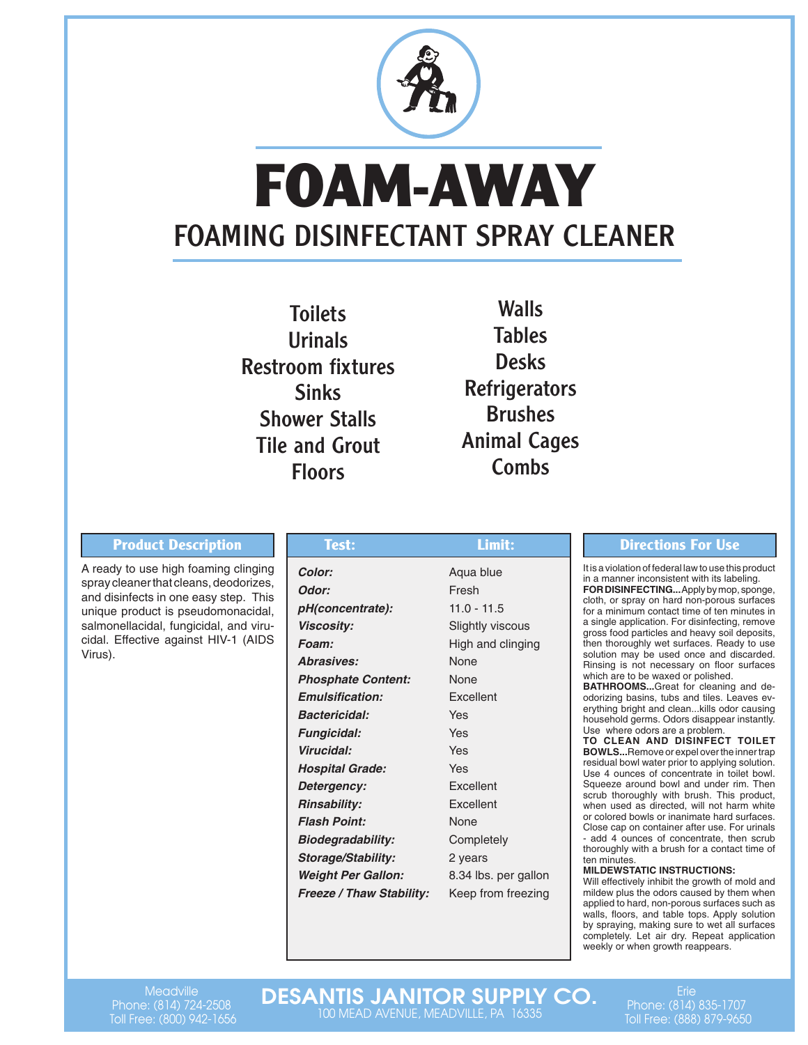

# **FOAM-AWAY**  FOAMING DISINFECTANT SPRAY CLEANER

Toilets Urinals Restroom fixtures **Sinks** Shower Stalls Tile and Grout Floors

Walls Tables **Desks Refrigerators** Brushes Animal Cages Combs

## **Product Description Test: Directions For Use**

A ready to use high foaming clinging spray cleaner that cleans, deodorizes, and disinfects in one easy step. This unique product is pseudomonacidal, salmonellacidal, fungicidal, and virucidal. Effective against HIV-1 (AIDS Virus).

| Test:                           | Limit:               |  |  |  |
|---------------------------------|----------------------|--|--|--|
| Color:                          | Aqua blue            |  |  |  |
| Odor:                           | Fresh                |  |  |  |
| pH(concentrate):                | $11.0 - 11.5$        |  |  |  |
| <b>Viscosity:</b>               | Slightly viscous     |  |  |  |
| Foam:                           | High and clinging    |  |  |  |
| <b>Abrasives:</b>               | None                 |  |  |  |
| <b>Phosphate Content:</b>       | None                 |  |  |  |
| <b>Emulsification:</b>          | Excellent            |  |  |  |
| <b>Bactericidal:</b>            | Yes                  |  |  |  |
| <b>Fungicidal:</b>              | Yes                  |  |  |  |
| Virucidal:                      | Yes                  |  |  |  |
| <b>Hospital Grade:</b>          | Yes                  |  |  |  |
| Detergency:                     | Excellent            |  |  |  |
| <b>Rinsability:</b>             | Excellent            |  |  |  |
| <b>Flash Point:</b>             | None                 |  |  |  |
| <b>Biodegradability:</b>        | Completely           |  |  |  |
| Storage/Stability:              | 2 years              |  |  |  |
| <b>Weight Per Gallon:</b>       | 8.34 lbs. per gallon |  |  |  |
| <b>Freeze / Thaw Stability:</b> | Keep from freezing   |  |  |  |

It is a violation of federal law to use this product in a manner inconsistent with its labeling. FOR DISINFECTING... Apply by mop, sponge, cloth, or spray on hard non-porous surfaces for a minimum contact time of ten minutes in a single application. For disinfecting, remove gross food particles and heavy soil deposits, then thoroughly wet surfaces. Ready to use solution may be used once and discarded. Rinsing is not necessary on floor surfaces

which are to be waxed or polished. **BATHROOMS...**Great for cleaning and deodorizing basins, tubs and tiles. Leaves everything bright and clean...kills odor causing household germs. Odors disappear instantly. Use where odors are a problem.

**TO CLEAN AND DISINFECT TOILET BOWLS...**Remove or expel over the inner trap residual bowl water prior to applying solution. Use 4 ounces of concentrate in toilet bowl. Squeeze around bowl and under rim. Then scrub thoroughly with brush. This product, when used as directed, will not harm white or colored bowls or inanimate hard surfaces. Close cap on container after use. For urinals - add 4 ounces of concentrate, then scrub thoroughly with a brush for a contact time of ten minutes.

## **MILDEWSTATIC INSTRUCTIONS:**

Will effectively inhibit the growth of mold and mildew plus the odors caused by them when applied to hard, non-porous surfaces such as walls, floors, and table tops. Apply solution by spraying, making sure to wet all surfaces completely. Let air dry. Repeat application weekly or when growth reappears.

**Meadville** Phone: (814) 724-2508 Toll Free: (800) 942-1656 DESANTIS JANITOR SUPPLY CO. 100 MEAD AVENUE, MEADVILLE, PA 16335

 $Fri\approx$ Phone: (814) 835-1707 Toll Free: (888) 879-9650